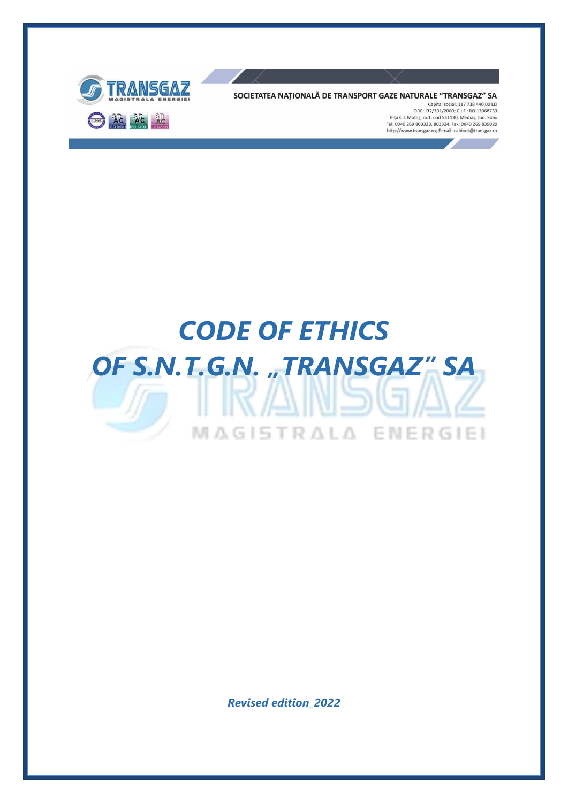

SOCIETATEA NAȚIONALĂ DE TRANSPORT GAZE NATURALE "TRANSGAZ" SA Capital social: 117 738 440,00 LEI<br>ORC: J32/301/2000; C.I.F.: RO 13068733 P-ta C.I. Motaș, nr.1, cod 551130, Mediaș, Jud. Sibiu<br>Tel: 0040 269 803333, 803334, Fax: 0040 269 839029

http://www.transgaz.ro; E-mail: cabinet@transgaz.ro



*Revised edition\_2022*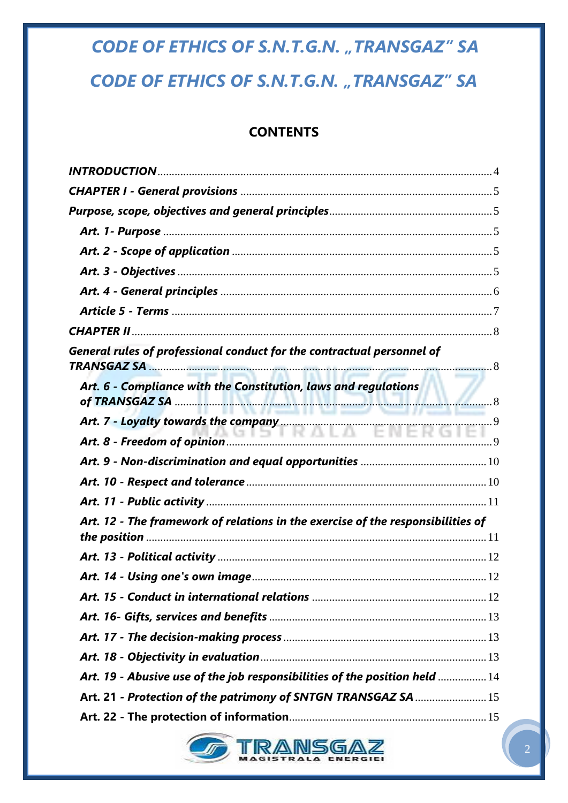# **CODE OF ETHICS OF S.N.T.G.N. "TRANSGAZ" SA** CODE OF ETHICS OF S.N.T.G.N. "TRANSGAZ" SA

### **CONTENTS**

| General rules of professional conduct for the contractual personnel of          |     |
|---------------------------------------------------------------------------------|-----|
| Art. 6 - Compliance with the Constitution, laws and regulations                 |     |
|                                                                                 | . 9 |
|                                                                                 |     |
|                                                                                 |     |
|                                                                                 |     |
|                                                                                 |     |
| Art. 12 - The framework of relations in the exercise of the responsibilities of |     |
|                                                                                 |     |
|                                                                                 |     |
|                                                                                 |     |
|                                                                                 |     |
|                                                                                 |     |
|                                                                                 |     |
| Art. 19 - Abusive use of the job responsibilities of the position held  14      |     |
| Art. 21 - Protection of the patrimony of SNTGN TRANSGAZ SA  15                  |     |
|                                                                                 |     |

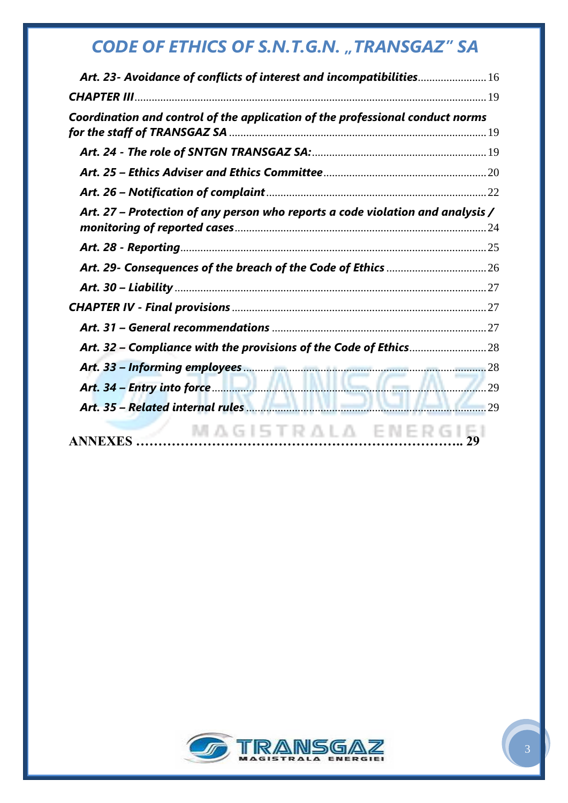| Art. 23- Avoidance of conflicts of interest and incompatibilities 16                                           |  |
|----------------------------------------------------------------------------------------------------------------|--|
|                                                                                                                |  |
| Coordination and control of the application of the professional conduct norms<br>for the staff of TRANSGAZ SA. |  |
|                                                                                                                |  |
|                                                                                                                |  |
|                                                                                                                |  |
| Art. 27 – Protection of any person who reports a code violation and analysis /                                 |  |
|                                                                                                                |  |
|                                                                                                                |  |
|                                                                                                                |  |
|                                                                                                                |  |
|                                                                                                                |  |
|                                                                                                                |  |
|                                                                                                                |  |
| Art. 33 – Informing employees<br>Art. 34 – Entry into force                                                    |  |
|                                                                                                                |  |
| MAGISTRALA ENERGIE<br><b>ANNEXES</b>                                                                           |  |

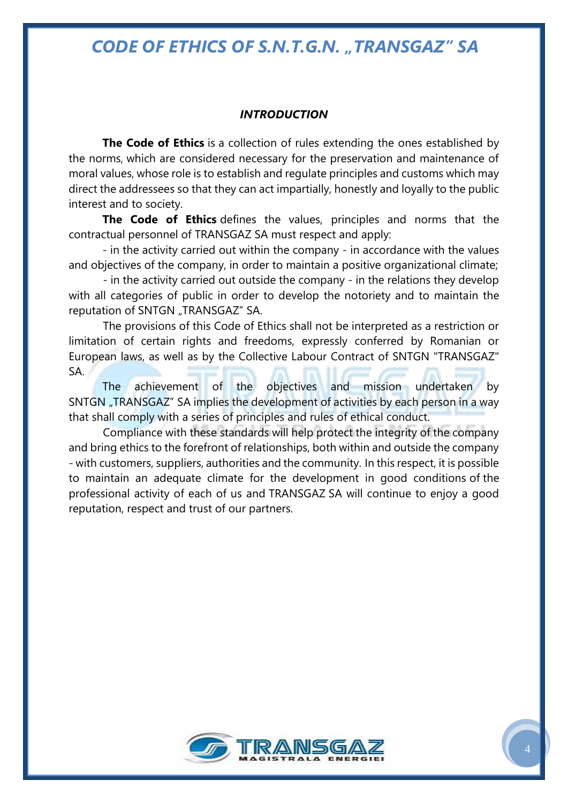#### *INTRODUCTION*

<span id="page-3-0"></span>**The Code of Ethics** is a collection of rules extending the ones established by the norms, which are considered necessary for the preservation and maintenance of moral values, whose role is to establish and regulate principles and customs which may direct the addressees so that they can act impartially, honestly and loyally to the public interest and to society.

**The Code of Ethics** defines the values, principles and norms that the contractual personnel of TRANSGAZ SA must respect and apply:

- in the activity carried out within the company - in accordance with the values and objectives of the company, in order to maintain a positive organizational climate;

- in the activity carried out outside the company - in the relations they develop with all categories of public in order to develop the notoriety and to maintain the reputation of SNTGN "TRANSGAZ" SA.

The provisions of this Code of Ethics shall not be interpreted as a restriction or limitation of certain rights and freedoms, expressly conferred by Romanian or European laws, as well as by the Collective Labour Contract of SNTGN "TRANSGAZ" SA.

The achievement of the objectives and mission undertaken by SNTGN "TRANSGAZ" SA implies the development of activities by each person in a way that shall comply with a series of principles and rules of ethical conduct.

Compliance with these standards will help protect the integrity of the company and bring ethics to the forefront of relationships, both within and outside the company - with customers, suppliers, authorities and the community. In this respect, it is possible to maintain an adequate climate for the development in good conditions of the professional activity of each of us and TRANSGAZ SA will continue to enjoy a good reputation, respect and trust of our partners.

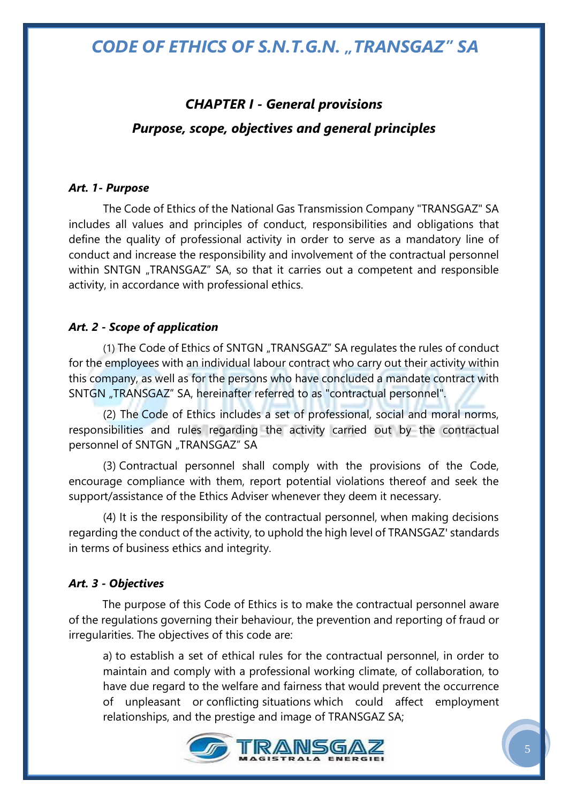## <span id="page-4-0"></span>*CHAPTER I - General provisions Purpose, scope, objectives and general principles*

#### <span id="page-4-2"></span><span id="page-4-1"></span>*Art. 1- Purpose*

The Code of Ethics of the National Gas Transmission Company "TRANSGAZ" SA includes all values and principles of conduct, responsibilities and obligations that define the quality of professional activity in order to serve as a mandatory line of conduct and increase the responsibility and involvement of the contractual personnel within SNTGN "TRANSGAZ" SA, so that it carries out a competent and responsible activity, in accordance with professional ethics.

#### <span id="page-4-3"></span>*Art. 2 - Scope of application*

(1) The Code of Ethics of SNTGN "TRANSGAZ" SA regulates the rules of conduct for the employees with an individual labour contract who carry out their activity within this company, as well as for the persons who have concluded a mandate contract with SNTGN "TRANSGAZ" SA, hereinafter referred to as "contractual personnel".

(2) The Code of Ethics includes a set of professional, social and moral norms, responsibilities and rules regarding the activity carried out by the contractual personnel of SNTGN "TRANSGAZ" SA

(3) Contractual personnel shall comply with the provisions of the Code, encourage compliance with them, report potential violations thereof and seek the support/assistance of the Ethics Adviser whenever they deem it necessary.

(4) It is the responsibility of the contractual personnel, when making decisions regarding the conduct of the activity, to uphold the high level of TRANSGAZ' standards in terms of business ethics and integrity.

#### <span id="page-4-4"></span>*Art. 3 - Objectives*

The purpose of this Code of Ethics is to make the contractual personnel aware of the regulations governing their behaviour, the prevention and reporting of fraud or irregularities. The objectives of this code are:

a) to establish a set of ethical rules for the contractual personnel, in order to maintain and comply with a professional working climate, of collaboration, to have due regard to the welfare and fairness that would prevent the occurrence of unpleasant or conflicting situations which could affect employment relationships, and the prestige and image of TRANSGAZ SA;

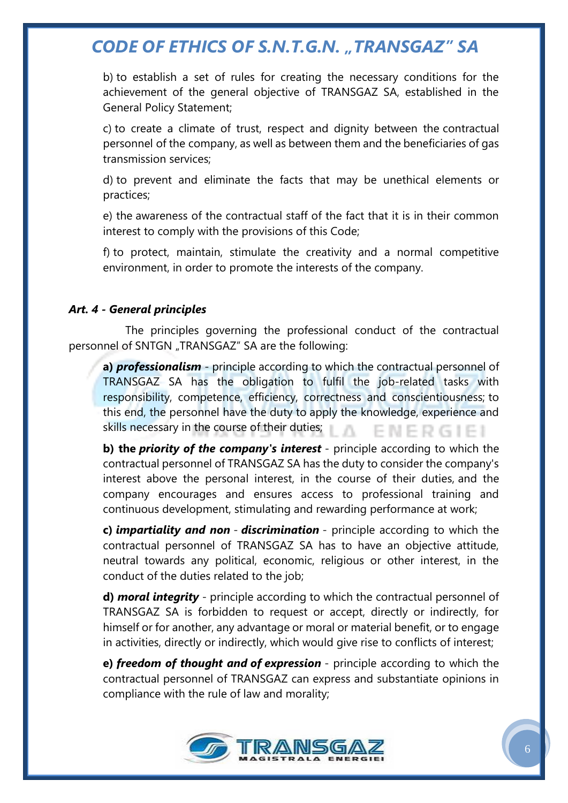b) to establish a set of rules for creating the necessary conditions for the achievement of the general objective of TRANSGAZ SA, established in the General Policy Statement;

c) to create a climate of trust, respect and dignity between the contractual personnel of the company, as well as between them and the beneficiaries of gas transmission services;

d) to prevent and eliminate the facts that may be unethical elements or practices;

e) the awareness of the contractual staff of the fact that it is in their common interest to comply with the provisions of this Code;

f) to protect, maintain, stimulate the creativity and a normal competitive environment, in order to promote the interests of the company.

### <span id="page-5-0"></span>*Art. 4 - General principles*

 The principles governing the professional conduct of the contractual personnel of SNTGN "TRANSGAZ" SA are the following:

**a)** *professionalism* - principle according to which the contractual personnel of TRANSGAZ SA has the obligation to fulfil the job-related tasks with responsibility, competence, efficiency, correctness and conscientiousness; to this end, the personnel have the duty to apply the knowledge, experience and skills necessary in the course of their duties; E N E R G I E I

**b) the** *priority of the company's interest* - principle according to which the contractual personnel of TRANSGAZ SA has the duty to consider the company's interest above the personal interest, in the course of their duties, and the company encourages and ensures access to professional training and continuous development, stimulating and rewarding performance at work;

**c)** *impartiality and non* - *discrimination* - principle according to which the contractual personnel of TRANSGAZ SA has to have an objective attitude, neutral towards any political, economic, religious or other interest, in the conduct of the duties related to the job;

**d)** *moral integrity* - principle according to which the contractual personnel of TRANSGAZ SA is forbidden to request or accept, directly or indirectly, for himself or for another, any advantage or moral or material benefit, or to engage in activities, directly or indirectly, which would give rise to conflicts of interest;

**e)** *freedom of thought and of expression* - principle according to which the contractual personnel of TRANSGAZ can express and substantiate opinions in compliance with the rule of law and morality;

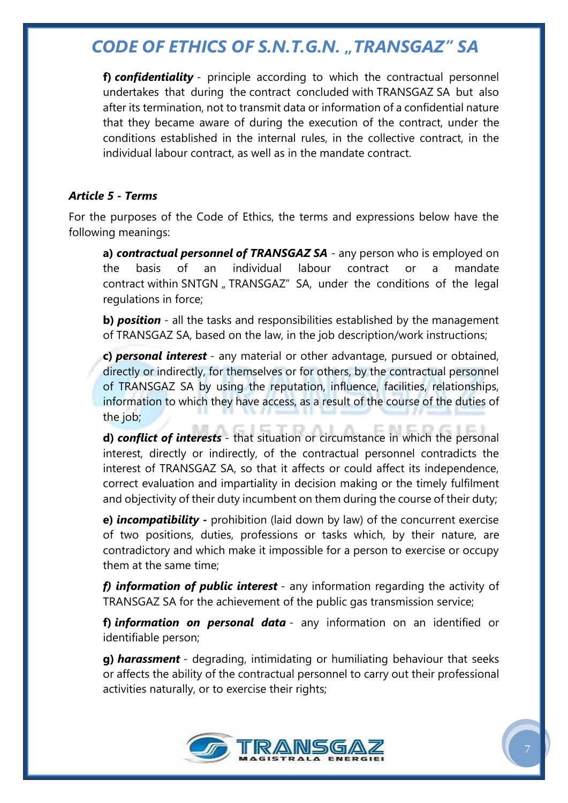**f)** *confidentiality* - principle according to which the contractual personnel undertakes that during the contract concluded with TRANSGAZ SA but also after its termination, not to transmit data or information of a confidential nature that they became aware of during the execution of the contract, under the conditions established in the internal rules, in the collective contract, in the individual labour contract, as well as in the mandate contract.

#### <span id="page-6-0"></span>*Article 5 - Terms*

For the purposes of the Code of Ethics, the terms and expressions below have the following meanings:

**a)** *contractual personnel of TRANSGAZ SA* - any person who is employed on the basis of an individual labour contract or a mandate contract within SNTGN " TRANSGAZ" SA, under the conditions of the legal regulations in force;

**b)** *position* - all the tasks and responsibilities established by the management of TRANSGAZ SA, based on the law, in the job description/work instructions;

**c)** *personal interest* - any material or other advantage, pursued or obtained, directly or indirectly, for themselves or for others, by the contractual personnel of TRANSGAZ SA by using the reputation, influence, facilities, relationships, information to which they have access, as a result of the course of the duties of the job;

**d)** *conflict of interests* - that situation or circumstance in which the personal interest, directly or indirectly, of the contractual personnel contradicts the interest of TRANSGAZ SA, so that it affects or could affect its independence, correct evaluation and impartiality in decision making or the timely fulfilment and objectivity of their duty incumbent on them during the course of their duty;

**e)** *incompatibility -* prohibition (laid down by law) of the concurrent exercise of two positions, duties, professions or tasks which, by their nature, are contradictory and which make it impossible for a person to exercise or occupy them at the same time;

*f) information of public interest* - any information regarding the activity of TRANSGAZ SA for the achievement of the public gas transmission service;

**f)** *information on personal data* - any information on an identified or identifiable person;

**g)** *harassment* - degrading, intimidating or humiliating behaviour that seeks or affects the ability of the contractual personnel to carry out their professional activities naturally, or to exercise their rights;

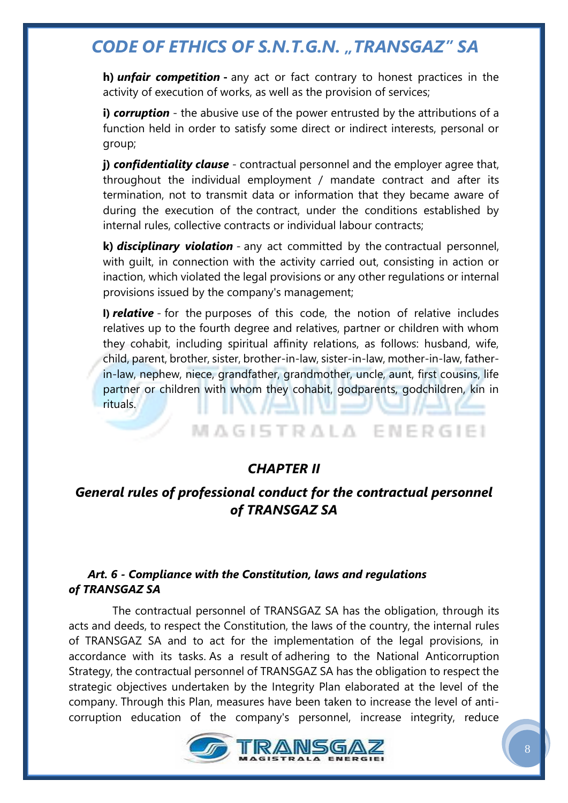**h)** *unfair competition* **-** any act or fact contrary to honest practices in the activity of execution of works, as well as the provision of services;

**i)** *corruption* - the abusive use of the power entrusted by the attributions of a function held in order to satisfy some direct or indirect interests, personal or group;

**j)** *confidentiality clause* - contractual personnel and the employer agree that, throughout the individual employment / mandate contract and after its termination, not to transmit data or information that they became aware of during the execution of the contract, under the conditions established by internal rules, collective contracts or individual labour contracts;

**k)** *disciplinary violation -* any act committed by the contractual personnel, with guilt, in connection with the activity carried out, consisting in action or inaction, which violated the legal provisions or any other regulations or internal provisions issued by the company's management;

**l)** *relative -* for the purposes of this code, the notion of relative includes relatives up to the fourth degree and relatives, partner or children with whom they cohabit, including spiritual affinity relations, as follows: husband, wife, child, parent, brother, sister, brother-in-law, sister-in-law, mother-in-law, fatherin-law, nephew, niece, grandfather, grandmother, uncle, aunt, first cousins, life partner or children with whom they cohabit, godparents, godchildren, kin in rituals.

MAGISTRALA ENERGIEI

### *CHAPTER II*

### <span id="page-7-1"></span><span id="page-7-0"></span>*General rules of professional conduct for the contractual personnel of TRANSGAZ SA*

### <span id="page-7-2"></span> *Art. 6 - Compliance with the Constitution, laws and regulations of TRANSGAZ SA*

 The contractual personnel of TRANSGAZ SA has the obligation, through its acts and deeds, to respect the Constitution, the laws of the country, the internal rules of TRANSGAZ SA and to act for the implementation of the legal provisions, in accordance with its tasks. As a result of adhering to the National Anticorruption Strategy, the contractual personnel of TRANSGAZ SA has the obligation to respect the strategic objectives undertaken by the Integrity Plan elaborated at the level of the company. Through this Plan, measures have been taken to increase the level of anticorruption education of the company's personnel, increase integrity, reduce

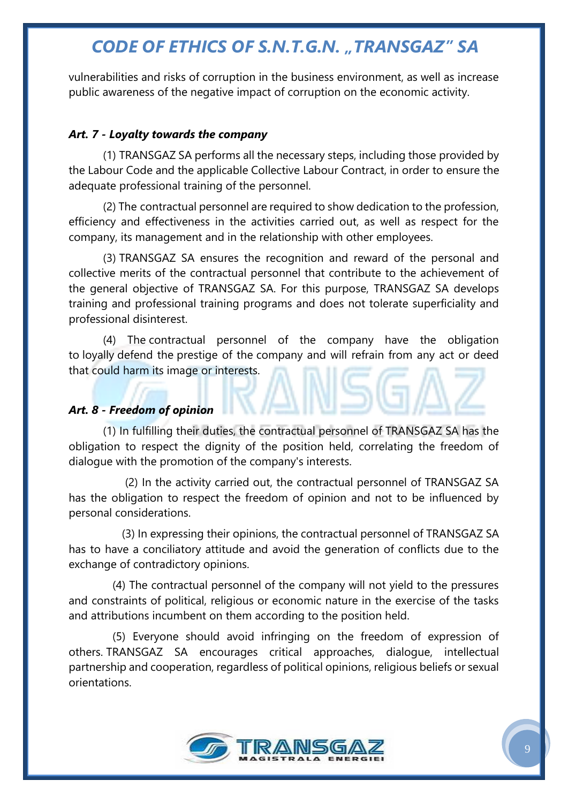vulnerabilities and risks of corruption in the business environment, as well as increase public awareness of the negative impact of corruption on the economic activity.

### <span id="page-8-0"></span>*Art. 7 - Loyalty towards the company*

(1) TRANSGAZ SA performs all the necessary steps, including those provided by the Labour Code and the applicable Collective Labour Contract, in order to ensure the adequate professional training of the personnel.

(2) The contractual personnel are required to show dedication to the profession, efficiency and effectiveness in the activities carried out, as well as respect for the company, its management and in the relationship with other employees.

(3) TRANSGAZ SA ensures the recognition and reward of the personal and collective merits of the contractual personnel that contribute to the achievement of the general objective of TRANSGAZ SA. For this purpose, TRANSGAZ SA develops training and professional training programs and does not tolerate superficiality and professional disinterest.

(4) The contractual personnel of the company have the obligation to loyally defend the prestige of the company and will refrain from any act or deed that could harm its image or interests.

### <span id="page-8-1"></span>*Art. 8 - Freedom of opinion*

(1) In fulfilling their duties, the contractual personnel of TRANSGAZ SA has the obligation to respect the dignity of the position held, correlating the freedom of dialogue with the promotion of the company's interests.

 (2) In the activity carried out, the contractual personnel of TRANSGAZ SA has the obligation to respect the freedom of opinion and not to be influenced by personal considerations.

 (3) In expressing their opinions, the contractual personnel of TRANSGAZ SA has to have a conciliatory attitude and avoid the generation of conflicts due to the exchange of contradictory opinions.

 (4) The contractual personnel of the company will not yield to the pressures and constraints of political, religious or economic nature in the exercise of the tasks and attributions incumbent on them according to the position held.

 (5) Everyone should avoid infringing on the freedom of expression of others. TRANSGAZ SA encourages critical approaches, dialogue, intellectual partnership and cooperation, regardless of political opinions, religious beliefs or sexual orientations.

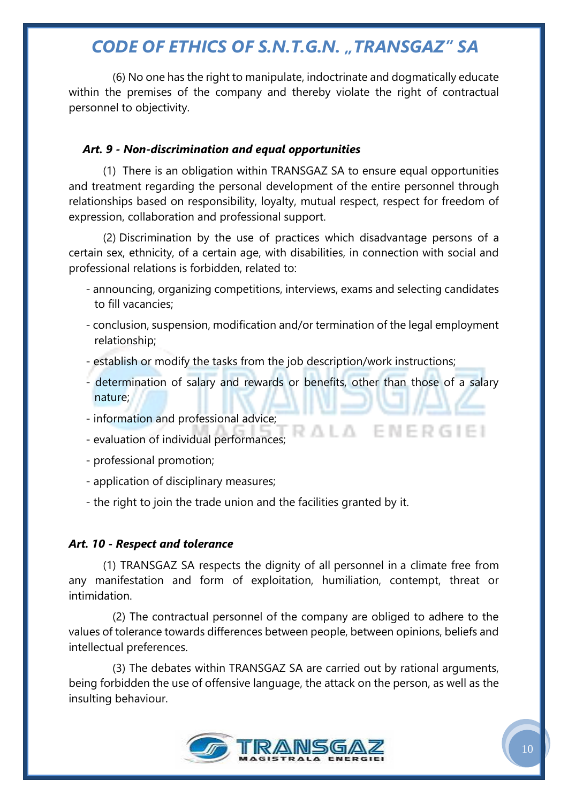(6) No one has the right to manipulate, indoctrinate and dogmatically educate within the premises of the company and thereby violate the right of contractual personnel to objectivity.

#### <span id="page-9-0"></span>*Art. 9 - Non-discrimination and equal opportunities*

(1) There is an obligation within TRANSGAZ SA to ensure equal opportunities and treatment regarding the personal development of the entire personnel through relationships based on responsibility, loyalty, mutual respect, respect for freedom of expression, collaboration and professional support.

(2) Discrimination by the use of practices which disadvantage persons of a certain sex, ethnicity, of a certain age, with disabilities, in connection with social and professional relations is forbidden, related to:

- announcing, organizing competitions, interviews, exams and selecting candidates to fill vacancies;
- conclusion, suspension, modification and/or termination of the legal employment relationship;
- establish or modify the tasks from the job description/work instructions;
- determination of salary and rewards or benefits, other than those of a salary nature;

3 A L A

ENERGIEI

- information and professional advice;
- evaluation of individual performances;
- professional promotion;
- application of disciplinary measures;
- the right to join the trade union and the facilities granted by it.

#### <span id="page-9-1"></span>*Art. 10 - Respect and tolerance*

(1) TRANSGAZ SA respects the dignity of all personnel in a climate free from any manifestation and form of exploitation, humiliation, contempt, threat or intimidation.

 (2) The contractual personnel of the company are obliged to adhere to the values of tolerance towards differences between people, between opinions, beliefs and intellectual preferences.

 (3) The debates within TRANSGAZ SA are carried out by rational arguments, being forbidden the use of offensive language, the attack on the person, as well as the insulting behaviour.

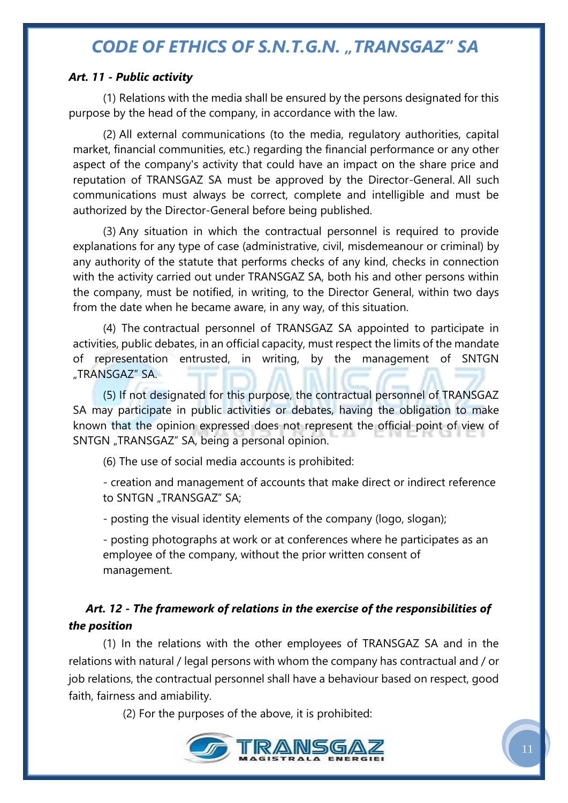#### <span id="page-10-0"></span>*Art. 11 - Public activity*

(1) Relations with the media shall be ensured by the persons designated for this purpose by the head of the company, in accordance with the law.

(2) All external communications (to the media, regulatory authorities, capital market, financial communities, etc.) regarding the financial performance or any other aspect of the company's activity that could have an impact on the share price and reputation of TRANSGAZ SA must be approved by the Director-General. All such communications must always be correct, complete and intelligible and must be authorized by the Director-General before being published.

(3) Any situation in which the contractual personnel is required to provide explanations for any type of case (administrative, civil, misdemeanour or criminal) by any authority of the statute that performs checks of any kind, checks in connection with the activity carried out under TRANSGAZ SA, both his and other persons within the company, must be notified, in writing, to the Director General, within two days from the date when he became aware, in any way, of this situation.

(4) The contractual personnel of TRANSGAZ SA appointed to participate in activities, public debates, in an official capacity, must respect the limits of the mandate of representation entrusted, in writing, by the management of SNTGN "TRANSGAZ" SA.

(5) If not designated for this purpose, the contractual personnel of TRANSGAZ SA may participate in public activities or debates, having the obligation to make known that the opinion expressed does not represent the official point of view of SNTGN "TRANSGAZ" SA, being a personal opinion.

(6) The use of social media accounts is prohibited:

- creation and management of accounts that make direct or indirect reference to SNTGN "TRANSGAZ" SA;

- posting the visual identity elements of the company (logo, slogan);

- posting photographs at work or at conferences where he participates as an employee of the company, without the prior written consent of management.

### <span id="page-10-1"></span>*Art. 12 - The framework of relations in the exercise of the responsibilities of the position*

(1) In the relations with the other employees of TRANSGAZ SA and in the relations with natural / legal persons with whom the company has contractual and / or job relations, the contractual personnel shall have a behaviour based on respect, good faith, fairness and amiability.

(2) For the purposes of the above, it is prohibited:

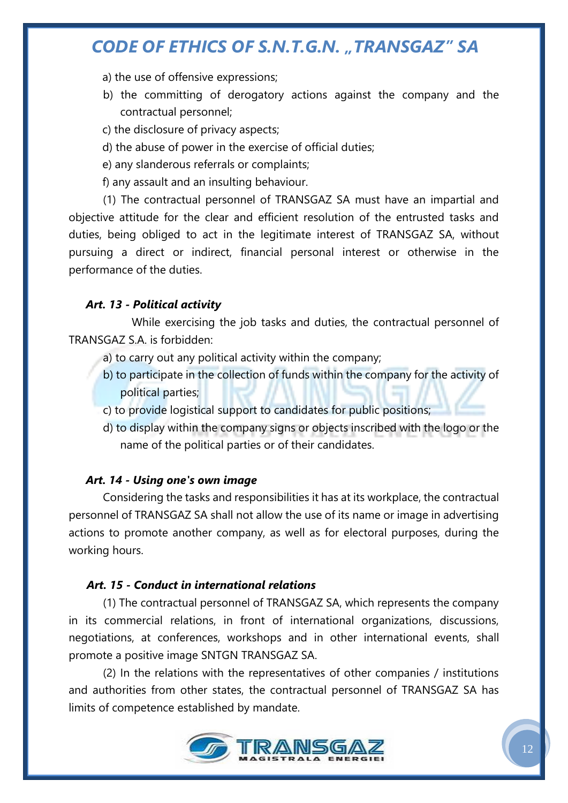a) the use of offensive expressions;

- b) the committing of derogatory actions against the company and the contractual personnel;
- c) the disclosure of privacy aspects;
- d) the abuse of power in the exercise of official duties;
- e) any slanderous referrals or complaints;
- f) any assault and an insulting behaviour.

(1) The contractual personnel of TRANSGAZ SA must have an impartial and objective attitude for the clear and efficient resolution of the entrusted tasks and duties, being obliged to act in the legitimate interest of TRANSGAZ SA, without pursuing a direct or indirect, financial personal interest or otherwise in the performance of the duties.

### <span id="page-11-0"></span>*Art. 13 - Political activity*

 While exercising the job tasks and duties, the contractual personnel of TRANSGAZ S.A. is forbidden:

- a) to carry out any political activity within the company;
- b) to participate in the collection of funds within the company for the activity of political parties;
- c) to provide logistical support to candidates for public positions;
- d) to display within the company signs or objects inscribed with the logo or the name of the political parties or of their candidates.

### <span id="page-11-1"></span>*Art. 14 - Using one's own image*

Considering the tasks and responsibilities it has at its workplace, the contractual personnel of TRANSGAZ SA shall not allow the use of its name or image in advertising actions to promote another company, as well as for electoral purposes, during the working hours.

### <span id="page-11-2"></span> *Art. 15 - Conduct in international relations*

(1) The contractual personnel of TRANSGAZ SA, which represents the company in its commercial relations, in front of international organizations, discussions, negotiations, at conferences, workshops and in other international events, shall promote a positive image SNTGN TRANSGAZ SA.

(2) In the relations with the representatives of other companies / institutions and authorities from other states, the contractual personnel of TRANSGAZ SA has limits of competence established by mandate.

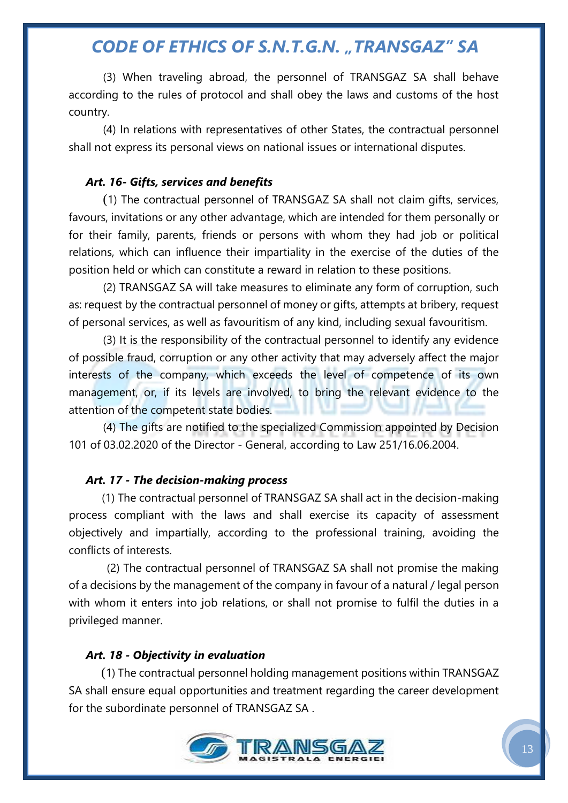(3) When traveling abroad, the personnel of TRANSGAZ SA shall behave according to the rules of protocol and shall obey the laws and customs of the host country.

(4) In relations with representatives of other States, the contractual personnel shall not express its personal views on national issues or international disputes.

#### <span id="page-12-0"></span>*Art. 16- Gifts, services and benefits*

(1) The contractual personnel of TRANSGAZ SA shall not claim gifts, services, favours, invitations or any other advantage, which are intended for them personally or for their family, parents, friends or persons with whom they had job or political relations, which can influence their impartiality in the exercise of the duties of the position held or which can constitute a reward in relation to these positions.

(2) TRANSGAZ SA will take measures to eliminate any form of corruption, such as: request by the contractual personnel of money or gifts, attempts at bribery, request of personal services, as well as favouritism of any kind, including sexual favouritism.

(3) It is the responsibility of the contractual personnel to identify any evidence of possible fraud, corruption or any other activity that may adversely affect the major interests of the company, which exceeds the level of competence of its own management, or, if its levels are involved, to bring the relevant evidence to the attention of the competent state bodies.

(4) The gifts are notified to the specialized Commission appointed by Decision 101 of 03.02.2020 of the Director - General, according to Law 251/16.06.2004.

#### <span id="page-12-1"></span>*Art. 17 - The decision-making process*

 (1) The contractual personnel of TRANSGAZ SA shall act in the decision-making process compliant with the laws and shall exercise its capacity of assessment objectively and impartially, according to the professional training, avoiding the conflicts of interests.

 (2) The contractual personnel of TRANSGAZ SA shall not promise the making of a decisions by the management of the company in favour of a natural / legal person with whom it enters into job relations, or shall not promise to fulfil the duties in a privileged manner.

#### <span id="page-12-2"></span>*Art. 18 - Objectivity in evaluation*

 (1) The contractual personnel holding management positions within TRANSGAZ SA shall ensure equal opportunities and treatment regarding the career development for the subordinate personnel of TRANSGAZ SA .

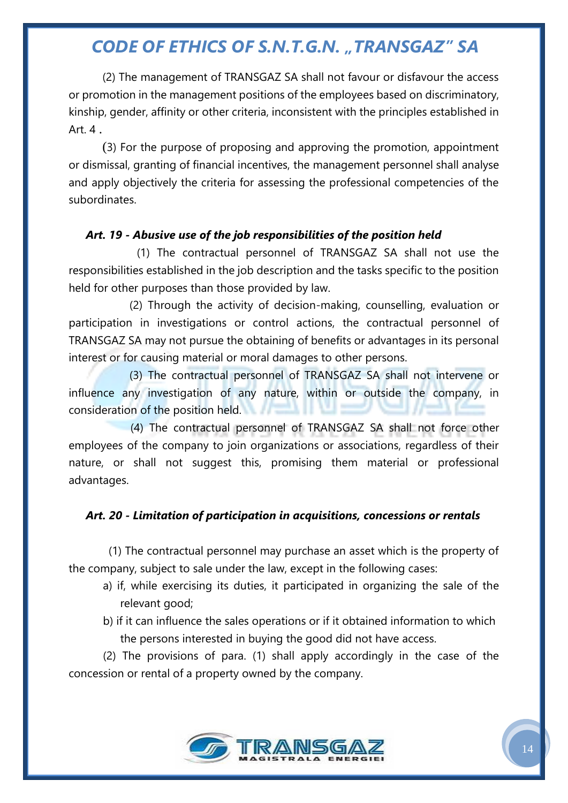(2) The management of TRANSGAZ SA shall not favour or disfavour the access or promotion in the management positions of the employees based on discriminatory, kinship, gender, affinity or other criteria, inconsistent with the principles established in Art. 4 .

(3) For the purpose of proposing and approving the promotion, appointment or dismissal, granting of financial incentives, the management personnel shall analyse and apply objectively the criteria for assessing the professional competencies of the subordinates.

#### <span id="page-13-0"></span>*Art. 19 - Abusive use of the job responsibilities of the position held*

 (1) The contractual personnel of TRANSGAZ SA shall not use the responsibilities established in the job description and the tasks specific to the position held for other purposes than those provided by law.

 (2) Through the activity of decision-making, counselling, evaluation or participation in investigations or control actions, the contractual personnel of TRANSGAZ SA may not pursue the obtaining of benefits or advantages in its personal interest or for causing material or moral damages to other persons.

 (3) The contractual personnel of TRANSGAZ SA shall not intervene or influence any investigation of any nature, within or outside the company, in consideration of the position held.

 (4) The contractual personnel of TRANSGAZ SA shall not force other employees of the company to join organizations or associations, regardless of their nature, or shall not suggest this, promising them material or professional advantages.

### *Art. 20 - Limitation of participation in acquisitions, concessions or rentals*

 (1) The contractual personnel may purchase an asset which is the property of the company, subject to sale under the law, except in the following cases:

- a) if, while exercising its duties, it participated in organizing the sale of the relevant good;
- b) if it can influence the sales operations or if it obtained information to which the persons interested in buying the good did not have access.

(2) The provisions of para. (1) shall apply accordingly in the case of the concession or rental of a property owned by the company.

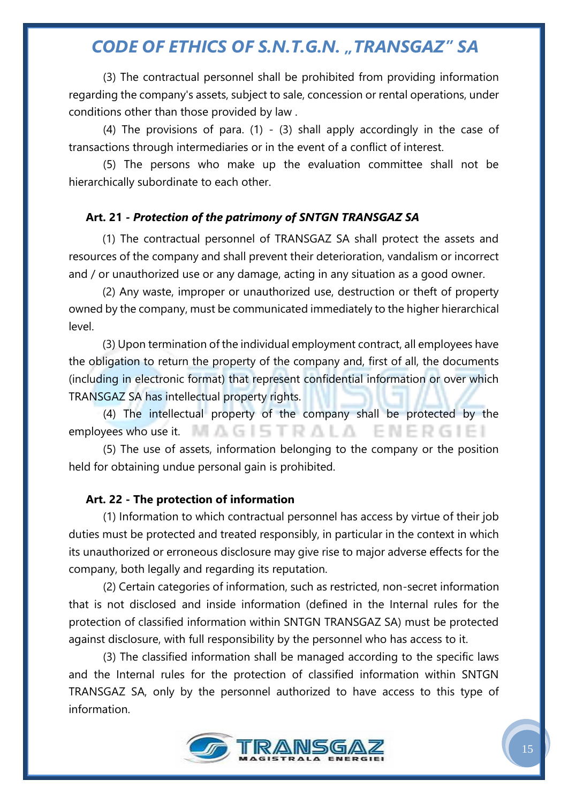(3) The contractual personnel shall be prohibited from providing information regarding the company's assets, subject to sale, concession or rental operations, under conditions other than those provided by law .

(4) The provisions of para. (1) - (3) shall apply accordingly in the case of transactions through intermediaries or in the event of a conflict of interest.

(5) The persons who make up the evaluation committee shall not be hierarchically subordinate to each other.

#### <span id="page-14-0"></span>**Art. 21** *- Protection of the patrimony of SNTGN TRANSGAZ SA*

(1) The contractual personnel of TRANSGAZ SA shall protect the assets and resources of the company and shall prevent their deterioration, vandalism or incorrect and / or unauthorized use or any damage, acting in any situation as a good owner.

(2) Any waste, improper or unauthorized use, destruction or theft of property owned by the company, must be communicated immediately to the higher hierarchical level.

(3) Upon termination of the individual employment contract, all employees have the obligation to return the property of the company and, first of all, the documents (including in electronic format) that represent confidential information or over which TRANSGAZ SA has intellectual property rights.

(4) The intellectual property of the company shall be protected by the employees who use it.

(5) The use of assets, information belonging to the company or the position held for obtaining undue personal gain is prohibited.

#### **Art. 22 - The protection of information**

<span id="page-14-1"></span>(1) Information to which contractual personnel has access by virtue of their job duties must be protected and treated responsibly, in particular in the context in which its unauthorized or erroneous disclosure may give rise to major adverse effects for the company, both legally and regarding its reputation.

(2) Certain categories of information, such as restricted, non-secret information that is not disclosed and inside information (defined in the Internal rules for the protection of classified information within SNTGN TRANSGAZ SA) must be protected against disclosure, with full responsibility by the personnel who has access to it.

(3) The classified information shall be managed according to the specific laws and the Internal rules for the protection of classified information within SNTGN TRANSGAZ SA, only by the personnel authorized to have access to this type of information.

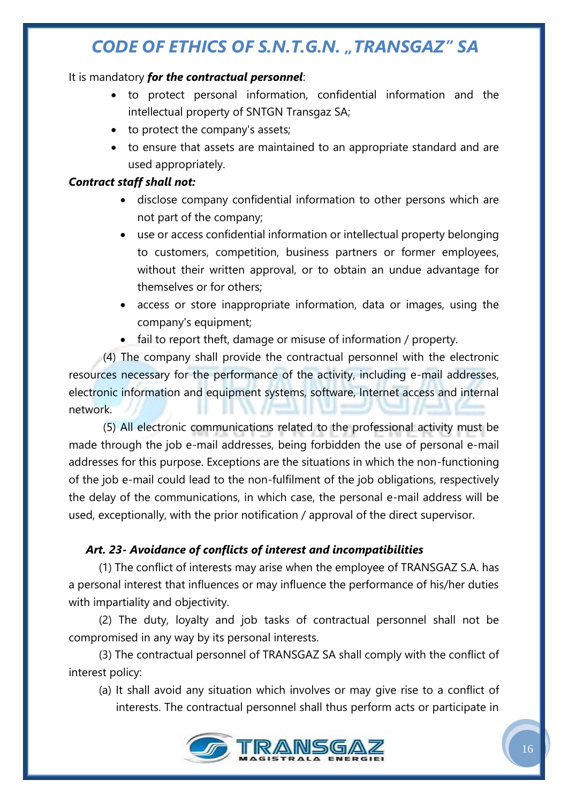### It is mandatory *for the contractual personnel*:

- to protect personal information, confidential information and the intellectual property of SNTGN Transgaz SA;
- to protect the company's assets;
- to ensure that assets are maintained to an appropriate standard and are used appropriately.

### *Contract staff shall not:*

- disclose company confidential information to other persons which are not part of the company;
- use or access confidential information or intellectual property belonging to customers, competition, business partners or former employees, without their written approval, or to obtain an undue advantage for themselves or for others;
- access or store inappropriate information, data or images, using the company's equipment;
- fail to report theft, damage or misuse of information / property.

(4) The company shall provide the contractual personnel with the electronic resources necessary for the performance of the activity, including e-mail addresses, electronic information and equipment systems, software, Internet access and internal network.

(5) All electronic communications related to the professional activity must be made through the job e-mail addresses, being forbidden the use of personal e-mail addresses for this purpose. Exceptions are the situations in which the non-functioning of the job e-mail could lead to the non-fulfilment of the job obligations, respectively the delay of the communications, in which case, the personal e-mail address will be used, exceptionally, with the prior notification / approval of the direct supervisor.

### <span id="page-15-0"></span>*Art. 23- Avoidance of conflicts of interest and incompatibilities*

(1) The conflict of interests may arise when the employee of TRANSGAZ S.A. has a personal interest that influences or may influence the performance of his/her duties with impartiality and objectivity.

(2) The duty, loyalty and job tasks of contractual personnel shall not be compromised in any way by its personal interests.

(3) The contractual personnel of TRANSGAZ SA shall comply with the conflict of interest policy:

(a) It shall avoid any situation which involves or may give rise to a conflict of interests. The contractual personnel shall thus perform acts or participate in

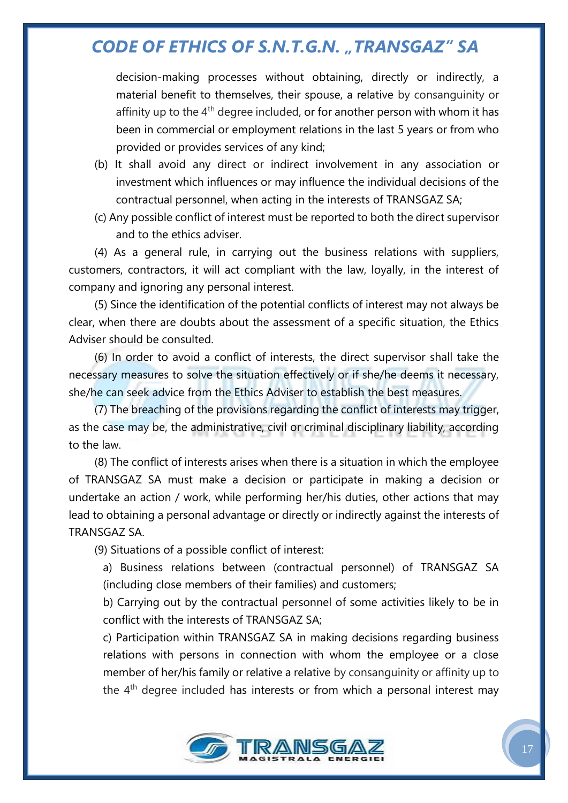decision-making processes without obtaining, directly or indirectly, a material benefit to themselves, their spouse, a relative by consanguinity or affinity up to the  $4<sup>th</sup>$  degree included, or for another person with whom it has been in commercial or employment relations in the last 5 years or from who provided or provides services of any kind;

- (b) It shall avoid any direct or indirect involvement in any association or investment which influences or may influence the individual decisions of the contractual personnel, when acting in the interests of TRANSGAZ SA;
- (c) Any possible conflict of interest must be reported to both the direct supervisor and to the ethics adviser.

(4) As a general rule, in carrying out the business relations with suppliers, customers, contractors, it will act compliant with the law, loyally, in the interest of company and ignoring any personal interest.

(5) Since the identification of the potential conflicts of interest may not always be clear, when there are doubts about the assessment of a specific situation, the Ethics Adviser should be consulted.

(6) In order to avoid a conflict of interests, the direct supervisor shall take the necessary measures to solve the situation effectively or if she/he deems it necessary, she/he can seek advice from the Ethics Adviser to establish the best measures.

(7) The breaching of the provisions regarding the conflict of interests may trigger, as the case may be, the administrative, civil or criminal disciplinary liability, according to the law.

(8) The conflict of interests arises when there is a situation in which the employee of TRANSGAZ SA must make a decision or participate in making a decision or undertake an action / work, while performing her/his duties, other actions that may lead to obtaining a personal advantage or directly or indirectly against the interests of TRANSGAZ SA.

(9) Situations of a possible conflict of interest:

a) Business relations between (contractual personnel) of TRANSGAZ SA (including close members of their families) and customers;

b) Carrying out by the contractual personnel of some activities likely to be in conflict with the interests of TRANSGAZ SA;

c) Participation within TRANSGAZ SA in making decisions regarding business relations with persons in connection with whom the employee or a close member of her/his family or relative a relative by consanguinity or affinity up to the 4<sup>th</sup> degree included has interests or from which a personal interest may

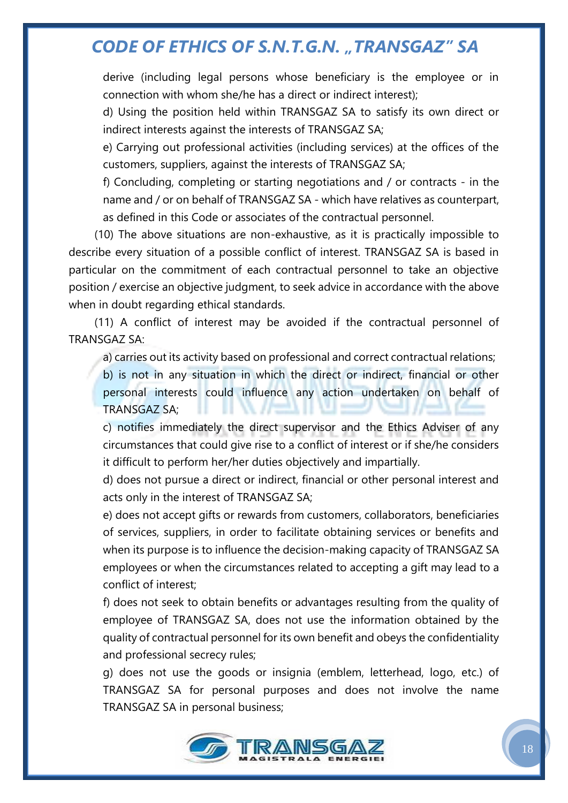derive (including legal persons whose beneficiary is the employee or in connection with whom she/he has a direct or indirect interest);

d) Using the position held within TRANSGAZ SA to satisfy its own direct or indirect interests against the interests of TRANSGAZ SA;

e) Carrying out professional activities (including services) at the offices of the customers, suppliers, against the interests of TRANSGAZ SA;

f) Concluding, completing or starting negotiations and / or contracts - in the name and / or on behalf of TRANSGAZ SA - which have relatives as counterpart, as defined in this Code or associates of the contractual personnel.

(10) The above situations are non-exhaustive, as it is practically impossible to describe every situation of a possible conflict of interest. TRANSGAZ SA is based in particular on the commitment of each contractual personnel to take an objective position / exercise an objective judgment, to seek advice in accordance with the above when in doubt regarding ethical standards.

(11) A conflict of interest may be avoided if the contractual personnel of TRANSGAZ SA:

a) carries out its activity based on professional and correct contractual relations;

b) is not in any situation in which the direct or indirect, financial or other personal interests could influence any action undertaken on behalf of TRANSGAZ SA;

c) notifies immediately the direct supervisor and the Ethics Adviser of any circumstances that could give rise to a conflict of interest or if she/he considers it difficult to perform her/her duties objectively and impartially.

d) does not pursue a direct or indirect, financial or other personal interest and acts only in the interest of TRANSGAZ SA;

e) does not accept gifts or rewards from customers, collaborators, beneficiaries of services, suppliers, in order to facilitate obtaining services or benefits and when its purpose is to influence the decision-making capacity of TRANSGAZ SA employees or when the circumstances related to accepting a gift may lead to a conflict of interest;

f) does not seek to obtain benefits or advantages resulting from the quality of employee of TRANSGAZ SA, does not use the information obtained by the quality of contractual personnel for its own benefit and obeys the confidentiality and professional secrecy rules;

g) does not use the goods or insignia (emblem, letterhead, logo, etc.) of TRANSGAZ SA for personal purposes and does not involve the name TRANSGAZ SA in personal business;

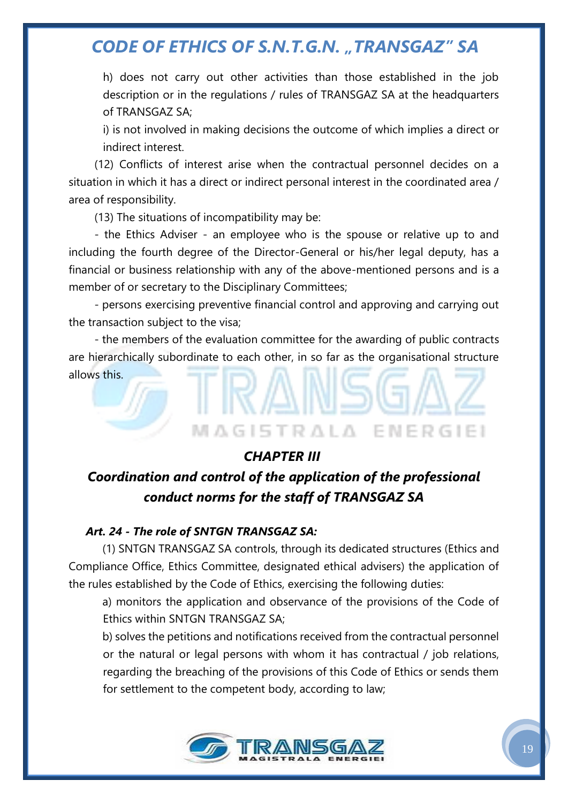h) does not carry out other activities than those established in the job description or in the regulations / rules of TRANSGAZ SA at the headquarters of TRANSGAZ SA;

i) is not involved in making decisions the outcome of which implies a direct or indirect interest.

(12) Conflicts of interest arise when the contractual personnel decides on a situation in which it has a direct or indirect personal interest in the coordinated area / area of responsibility.

(13) The situations of incompatibility may be:

- the Ethics Adviser - an employee who is the spouse or relative up to and including the fourth degree of the Director-General or his/her legal deputy, has a financial or business relationship with any of the above-mentioned persons and is a member of or secretary to the Disciplinary Committees;

- persons exercising preventive financial control and approving and carrying out the transaction subject to the visa;

- the members of the evaluation committee for the awarding of public contracts are hierarchically subordinate to each other, in so far as the organisational structure allows this.

### *CHAPTER III*

MAGISTRALA ENERGIEI

### <span id="page-18-1"></span><span id="page-18-0"></span>*Coordination and control of the application of the professional conduct norms for the staff of TRANSGAZ SA*

### <span id="page-18-2"></span>*Art. 24 - The role of SNTGN TRANSGAZ SA:*

(1) SNTGN TRANSGAZ SA controls, through its dedicated structures (Ethics and Compliance Office, Ethics Committee, designated ethical advisers) the application of the rules established by the Code of Ethics, exercising the following duties:

a) monitors the application and observance of the provisions of the Code of Ethics within SNTGN TRANSGAZ SA;

b) solves the petitions and notifications received from the contractual personnel or the natural or legal persons with whom it has contractual / job relations, regarding the breaching of the provisions of this Code of Ethics or sends them for settlement to the competent body, according to law;

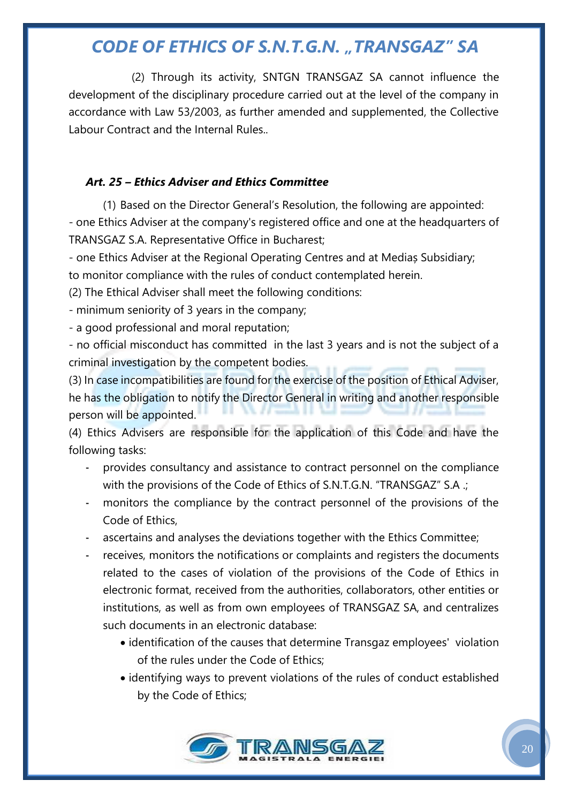(2) Through its activity, SNTGN TRANSGAZ SA cannot influence the development of the disciplinary procedure carried out at the level of the company in accordance with Law 53/2003, as further amended and supplemented, the Collective Labour Contract and the Internal Rules..

### <span id="page-19-0"></span>*Art. 25 – Ethics Adviser and Ethics Committee*

(1) Based on the Director General's Resolution, the following are appointed: - one Ethics Adviser at the company's registered office and one at the headquarters of TRANSGAZ S.A. Representative Office in Bucharest;

- one Ethics Adviser at the Regional Operating Centres and at Mediaș Subsidiary; to monitor compliance with the rules of conduct contemplated herein.

(2) The Ethical Adviser shall meet the following conditions:

- minimum seniority of 3 years in the company;

- a good professional and moral reputation;

- no official misconduct has committed in the last 3 years and is not the subject of a criminal investigation by the competent bodies.

(3) In case incompatibilities are found for the exercise of the position of Ethical Adviser, he has the obligation to notify the Director General in writing and another responsible person will be appointed.

(4) Ethics Advisers are responsible for the application of this Code and have the following tasks:

- provides consultancy and assistance to contract personnel on the compliance with the provisions of the Code of Ethics of S.N.T.G.N. "TRANSGAZ" S.A .;
- monitors the compliance by the contract personnel of the provisions of the Code of Ethics,
- ascertains and analyses the deviations together with the Ethics Committee;
- receives, monitors the notifications or complaints and registers the documents related to the cases of violation of the provisions of the Code of Ethics in electronic format, received from the authorities, collaborators, other entities or institutions, as well as from own employees of TRANSGAZ SA, and centralizes such documents in an electronic database:
	- identification of the causes that determine Transgaz employees' violation of the rules under the Code of Ethics;
	- identifying ways to prevent violations of the rules of conduct established by the Code of Ethics;

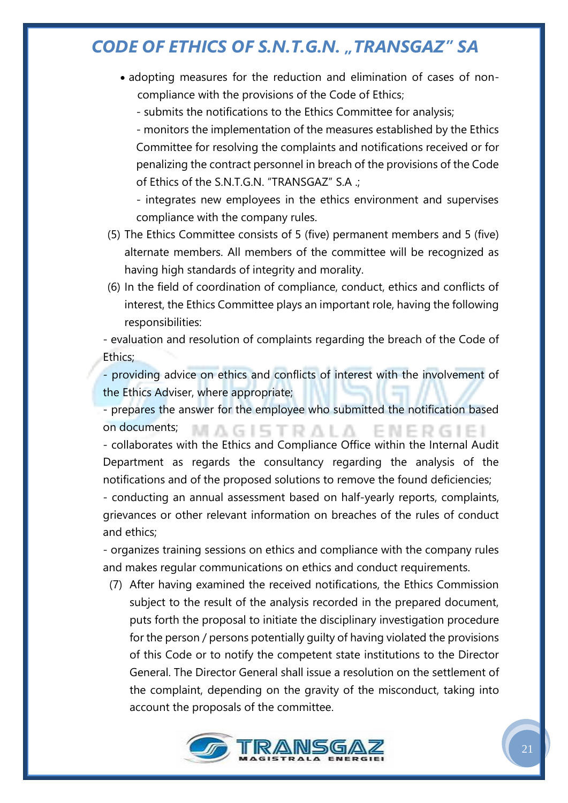- adopting measures for the reduction and elimination of cases of noncompliance with the provisions of the Code of Ethics;
	- submits the notifications to the Ethics Committee for analysis;

- monitors the implementation of the measures established by the Ethics Committee for resolving the complaints and notifications received or for penalizing the contract personnel in breach of the provisions of the Code of Ethics of the S.N.T.G.N. "TRANSGAZ" S.A .;

- integrates new employees in the ethics environment and supervises compliance with the company rules.

- (5) The Ethics Committee consists of 5 (five) permanent members and 5 (five) alternate members. All members of the committee will be recognized as having high standards of integrity and morality.
- (6) In the field of coordination of compliance, conduct, ethics and conflicts of interest, the Ethics Committee plays an important role, having the following responsibilities:

- evaluation and resolution of complaints regarding the breach of the Code of Ethics;

- providing advice on ethics and conflicts of interest with the involvement of the Ethics Adviser, where appropriate;

- prepares the answer for the employee who submitted the notification based on documents; MAGISTRAIA F N F R G I F I

- collaborates with the Ethics and Compliance Office within the Internal Audit Department as regards the consultancy regarding the analysis of the notifications and of the proposed solutions to remove the found deficiencies;

- conducting an annual assessment based on half-yearly reports, complaints, grievances or other relevant information on breaches of the rules of conduct and ethics;

- organizes training sessions on ethics and compliance with the company rules and makes regular communications on ethics and conduct requirements.

(7) After having examined the received notifications, the Ethics Commission subject to the result of the analysis recorded in the prepared document, puts forth the proposal to initiate the disciplinary investigation procedure for the person / persons potentially guilty of having violated the provisions of this Code or to notify the competent state institutions to the Director General. The Director General shall issue a resolution on the settlement of the complaint, depending on the gravity of the misconduct, taking into account the proposals of the committee.

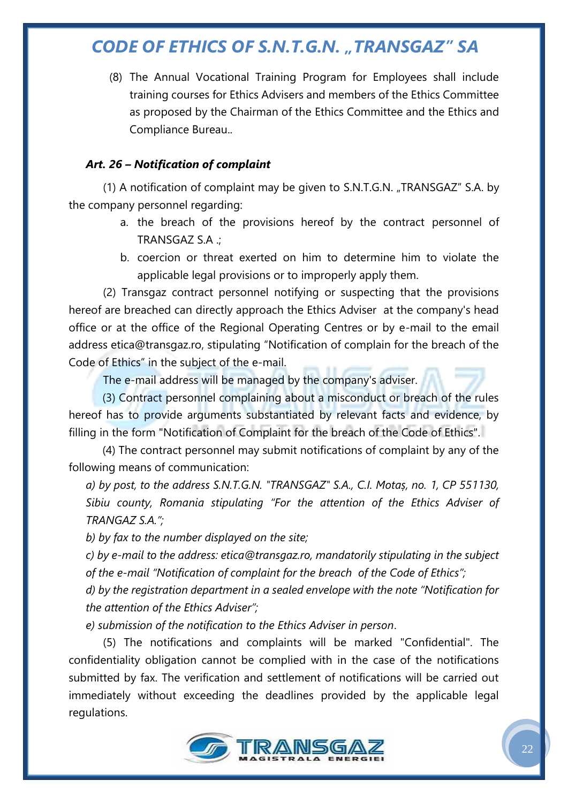(8) The Annual Vocational Training Program for Employees shall include training courses for Ethics Advisers and members of the Ethics Committee as proposed by the Chairman of the Ethics Committee and the Ethics and Compliance Bureau..

#### <span id="page-21-0"></span>*Art. 26 – Notification of complaint*

(1) A notification of complaint may be given to S.N.T.G.N. "TRANSGAZ" S.A. by the company personnel regarding:

- a. the breach of the provisions hereof by the contract personnel of TRANSGAZ S.A .;
- b. coercion or threat exerted on him to determine him to violate the applicable legal provisions or to improperly apply them.

(2) Transgaz contract personnel notifying or suspecting that the provisions hereof are breached can directly approach the Ethics Adviser at the company's head office or at the office of the Regional Operating Centres or by e-mail to the email address etica@transgaz.ro, stipulating "Notification of complain for the breach of the Code of Ethics" in the subject of the e-mail.

The e-mail address will be managed by the company's adviser.

(3) Contract personnel complaining about a misconduct or breach of the rules hereof has to provide arguments substantiated by relevant facts and evidence, by filling in the form "Notification of Complaint for the breach of the Code of Ethics".

(4) The contract personnel may submit notifications of complaint by any of the following means of communication:

*a) by post, to the address S.N.T.G.N. "TRANSGAZ" S.A., C.I. Motaș, no. 1, CP 551130, Sibiu county, Romania stipulating "For the attention of the Ethics Adviser of TRANGAZ S.A.";*

*b) by fax to the number displayed on the site;*

*c) by e-mail to the address: etica@transgaz.ro, mandatorily stipulating in the subject of the e-mail "Notification of complaint for the breach of the Code of Ethics";*

*d) by the registration department in a sealed envelope with the note "Notification for the attention of the Ethics Adviser";*

*e) submission of the notification to the Ethics Adviser in person*.

(5) The notifications and complaints will be marked "Confidential". The confidentiality obligation cannot be complied with in the case of the notifications submitted by fax. The verification and settlement of notifications will be carried out immediately without exceeding the deadlines provided by the applicable legal regulations.

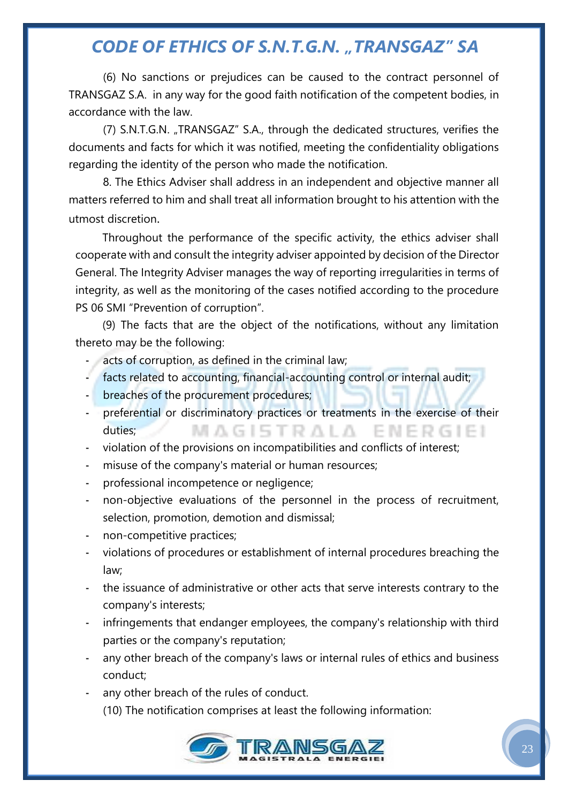(6) No sanctions or prejudices can be caused to the contract personnel of TRANSGAZ S.A. in any way for the good faith notification of the competent bodies, in accordance with the law.

(7) S.N.T.G.N. "TRANSGAZ" S.A., through the dedicated structures, verifies the documents and facts for which it was notified, meeting the confidentiality obligations regarding the identity of the person who made the notification.

8. The Ethics Adviser shall address in an independent and objective manner all matters referred to him and shall treat all information brought to his attention with the utmost discretion.

Throughout the performance of the specific activity, the ethics adviser shall cooperate with and consult the integrity adviser appointed by decision of the Director General. The Integrity Adviser manages the way of reporting irregularities in terms of integrity, as well as the monitoring of the cases notified according to the procedure PS 06 SMI "Prevention of corruption".

(9) The facts that are the object of the notifications, without any limitation thereto may be the following:

- acts of corruption, as defined in the criminal law;
- facts related to accounting, financial-accounting control or internal audit;
- breaches of the procurement procedures;
- preferential or discriminatory practices or treatments in the exercise of their duties; MAGISTRALA ENERGIEI
- violation of the provisions on incompatibilities and conflicts of interest;
- misuse of the company's material or human resources;
- professional incompetence or negligence;
- non-objective evaluations of the personnel in the process of recruitment, selection, promotion, demotion and dismissal;
- non-competitive practices;
- violations of procedures or establishment of internal procedures breaching the law;
- the issuance of administrative or other acts that serve interests contrary to the company's interests;
- infringements that endanger employees, the company's relationship with third parties or the company's reputation;
- any other breach of the company's laws or internal rules of ethics and business conduct;
- any other breach of the rules of conduct.
	- (10) The notification comprises at least the following information:

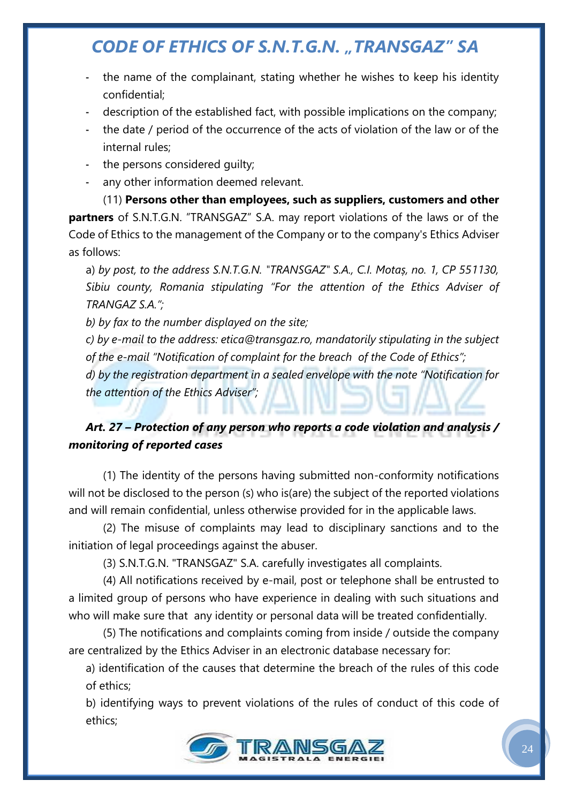- the name of the complainant, stating whether he wishes to keep his identity confidential;
- description of the established fact, with possible implications on the company;
- the date / period of the occurrence of the acts of violation of the law or of the internal rules;
- the persons considered quilty;
- any other information deemed relevant.

(11) **Persons other than employees, such as suppliers, customers and other partners** of S.N.T.G.N. "TRANSGAZ" S.A. may report violations of the laws or of the Code of Ethics to the management of the Company or to the company's Ethics Adviser as follows:

a) *by post, to the address S.N.T.G.N. "TRANSGAZ" S.A., C.I. Motaș, no. 1, CP 551130, Sibiu county, Romania stipulating "For the attention of the Ethics Adviser of TRANGAZ S.A.";*

*b) by fax to the number displayed on the site;*

*c) by e-mail to the address: etica@transgaz.ro, mandatorily stipulating in the subject of the e-mail "Notification of complaint for the breach of the Code of Ethics";*

*d) by the registration department in a sealed envelope with the note "Notification for the attention of the Ethics Adviser";*

### <span id="page-23-0"></span>*Art. 27 – Protection of any person who reports a code violation and analysis / monitoring of reported cases*

(1) The identity of the persons having submitted non-conformity notifications will not be disclosed to the person (s) who is(are) the subject of the reported violations and will remain confidential, unless otherwise provided for in the applicable laws.

(2) The misuse of complaints may lead to disciplinary sanctions and to the initiation of legal proceedings against the abuser.

(3) S.N.T.G.N. "TRANSGAZ" S.A. carefully investigates all complaints.

(4) All notifications received by e-mail, post or telephone shall be entrusted to a limited group of persons who have experience in dealing with such situations and who will make sure that any identity or personal data will be treated confidentially.

(5) The notifications and complaints coming from inside / outside the company are centralized by the Ethics Adviser in an electronic database necessary for:

a) identification of the causes that determine the breach of the rules of this code of ethics;

b) identifying ways to prevent violations of the rules of conduct of this code of ethics;

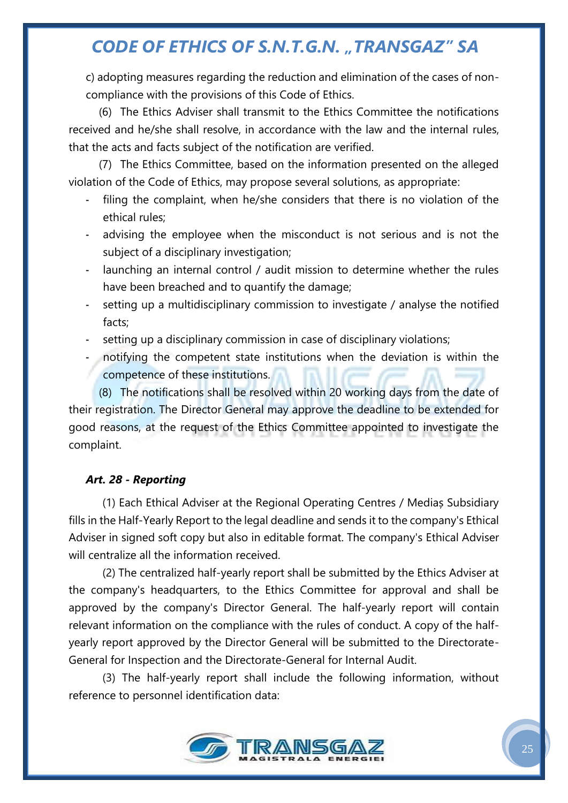c) adopting measures regarding the reduction and elimination of the cases of noncompliance with the provisions of this Code of Ethics.

(6) The Ethics Adviser shall transmit to the Ethics Committee the notifications received and he/she shall resolve, in accordance with the law and the internal rules, that the acts and facts subject of the notification are verified.

(7) The Ethics Committee, based on the information presented on the alleged violation of the Code of Ethics, may propose several solutions, as appropriate:

- filing the complaint, when he/she considers that there is no violation of the ethical rules;
- advising the employee when the misconduct is not serious and is not the subject of a disciplinary investigation;
- launching an internal control / audit mission to determine whether the rules have been breached and to quantify the damage;
- setting up a multidisciplinary commission to investigate / analyse the notified facts;
- setting up a disciplinary commission in case of disciplinary violations;
- notifying the competent state institutions when the deviation is within the competence of these institutions.

(8) The notifications shall be resolved within 20 working days from the date of their registration. The Director General may approve the deadline to be extended for good reasons, at the request of the Ethics Committee appointed to investigate the complaint.

### <span id="page-24-0"></span>*Art. 28 - Reporting*

(1) Each Ethical Adviser at the Regional Operating Centres / Mediaș Subsidiary fills in the Half-Yearly Report to the legal deadline and sends it to the company's Ethical Adviser in signed soft copy but also in editable format. The company's Ethical Adviser will centralize all the information received.

(2) The centralized half-yearly report shall be submitted by the Ethics Adviser at the company's headquarters, to the Ethics Committee for approval and shall be approved by the company's Director General. The half-yearly report will contain relevant information on the compliance with the rules of conduct. A copy of the halfyearly report approved by the Director General will be submitted to the Directorate-General for Inspection and the Directorate-General for Internal Audit.

(3) The half-yearly report shall include the following information, without reference to personnel identification data:

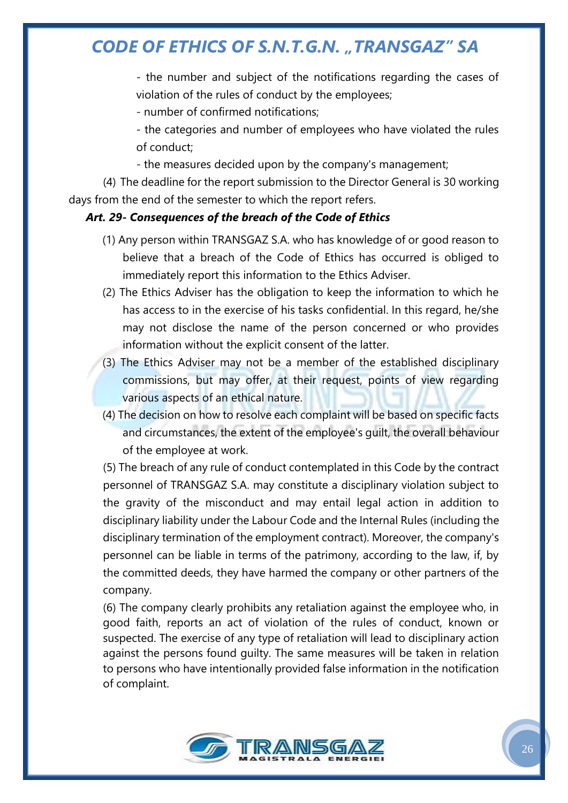- the number and subject of the notifications regarding the cases of violation of the rules of conduct by the employees;

- number of confirmed notifications;

- the categories and number of employees who have violated the rules of conduct;

- the measures decided upon by the company's management;

(4) The deadline for the report submission to the Director General is 30 working days from the end of the semester to which the report refers.

### <span id="page-25-0"></span>*Art. 29- Consequences of the breach of the Code of Ethics*

- (1) Any person within TRANSGAZ S.A. who has knowledge of or good reason to believe that a breach of the Code of Ethics has occurred is obliged to immediately report this information to the Ethics Adviser.
- (2) The Ethics Adviser has the obligation to keep the information to which he has access to in the exercise of his tasks confidential. In this regard, he/she may not disclose the name of the person concerned or who provides information without the explicit consent of the latter.
- (3) The Ethics Adviser may not be a member of the established disciplinary commissions, but may offer, at their request, points of view regarding various aspects of an ethical nature.
- (4) The decision on how to resolve each complaint will be based on specific facts and circumstances, the extent of the employee's guilt, the overall behaviour of the employee at work.

(5) The breach of any rule of conduct contemplated in this Code by the contract personnel of TRANSGAZ S.A. may constitute a disciplinary violation subject to the gravity of the misconduct and may entail legal action in addition to disciplinary liability under the Labour Code and the Internal Rules (including the disciplinary termination of the employment contract). Moreover, the company's personnel can be liable in terms of the patrimony, according to the law, if, by the committed deeds, they have harmed the company or other partners of the company.

(6) The company clearly prohibits any retaliation against the employee who, in good faith, reports an act of violation of the rules of conduct, known or suspected. The exercise of any type of retaliation will lead to disciplinary action against the persons found guilty. The same measures will be taken in relation to persons who have intentionally provided false information in the notification of complaint.

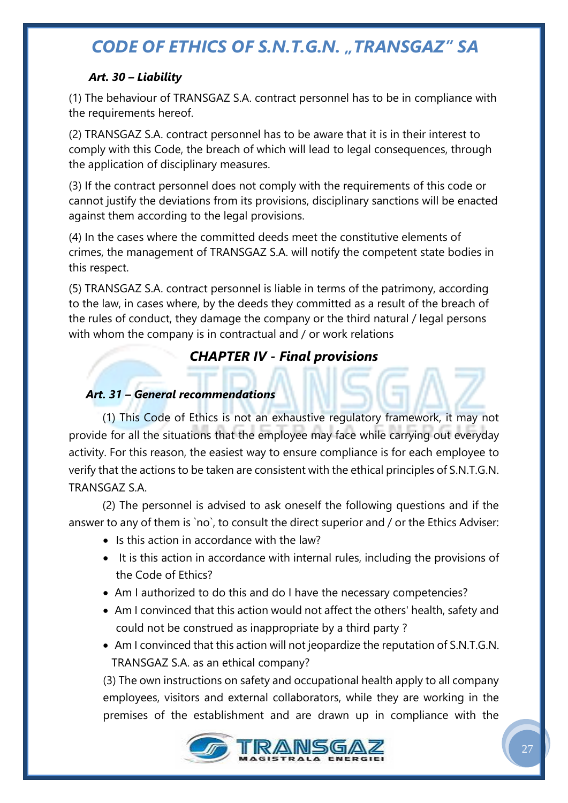### <span id="page-26-0"></span>*Art. 30 – Liability*

(1) The behaviour of TRANSGAZ S.A. contract personnel has to be in compliance with the requirements hereof.

(2) TRANSGAZ S.A. contract personnel has to be aware that it is in their interest to comply with this Code, the breach of which will lead to legal consequences, through the application of disciplinary measures.

(3) If the contract personnel does not comply with the requirements of this code or cannot justify the deviations from its provisions, disciplinary sanctions will be enacted against them according to the legal provisions.

(4) In the cases where the committed deeds meet the constitutive elements of crimes, the management of TRANSGAZ S.A. will notify the competent state bodies in this respect.

(5) TRANSGAZ S.A. contract personnel is liable in terms of the patrimony, according to the law, in cases where, by the deeds they committed as a result of the breach of the rules of conduct, they damage the company or the third natural / legal persons with whom the company is in contractual and / or work relations

### *CHAPTER IV - Final provisions*

### <span id="page-26-2"></span><span id="page-26-1"></span>*Art. 31 – General recommendations*

(1) This Code of Ethics is not an exhaustive regulatory framework, it may not provide for all the situations that the employee may face while carrying out everyday activity. For this reason, the easiest way to ensure compliance is for each employee to verify that the actions to be taken are consistent with the ethical principles of S.N.T.G.N. TRANSGAZ S.A.

(2) The personnel is advised to ask oneself the following questions and if the answer to any of them is `no`, to consult the direct superior and / or the Ethics Adviser:

- Is this action in accordance with the law?
- It is this action in accordance with internal rules, including the provisions of the Code of Ethics?
- Am I authorized to do this and do I have the necessary competencies?
- Am I convinced that this action would not affect the others' health, safety and could not be construed as inappropriate by a third party ?
- Am I convinced that this action will not jeopardize the reputation of S.N.T.G.N. TRANSGAZ S.A. as an ethical company?

(3) The own instructions on safety and occupational health apply to all company employees, visitors and external collaborators, while they are working in the premises of the establishment and are drawn up in compliance with the

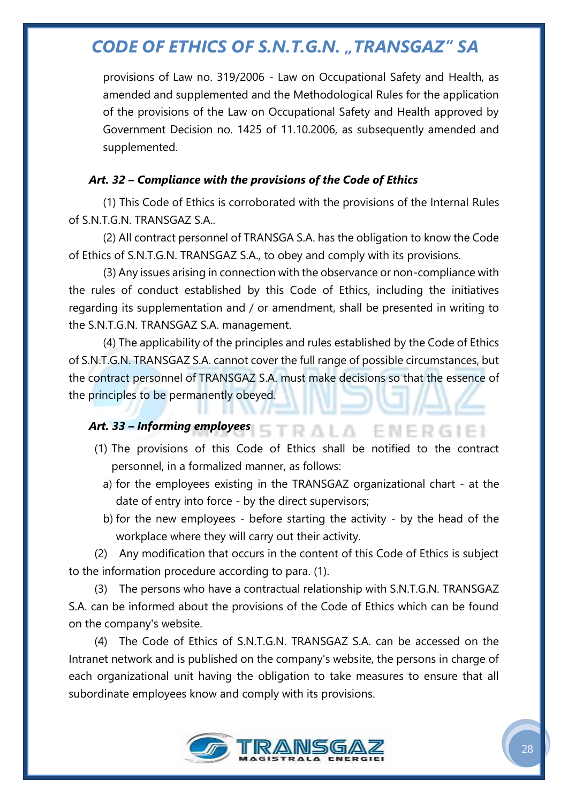provisions of Law no. 319/2006 - Law on Occupational Safety and Health, as amended and supplemented and the Methodological Rules for the application of the provisions of the Law on Occupational Safety and Health approved by Government Decision no. 1425 of 11.10.2006, as subsequently amended and supplemented.

### <span id="page-27-0"></span>*Art. 32 – Compliance with the provisions of the Code of Ethics*

(1) This Code of Ethics is corroborated with the provisions of the Internal Rules of S.N.T.G.N. TRANSGAZ S.A..

(2) All contract personnel of TRANSGA S.A. has the obligation to know the Code of Ethics of S.N.T.G.N. TRANSGAZ S.A., to obey and comply with its provisions.

 (3) Any issues arising in connection with the observance or non-compliance with the rules of conduct established by this Code of Ethics, including the initiatives regarding its supplementation and / or amendment, shall be presented in writing to the S.N.T.G.N. TRANSGAZ S.A. management.

(4) The applicability of the principles and rules established by the Code of Ethics of S.N.T.G.N. TRANSGAZ S.A. cannot cover the full range of possible circumstances, but the contract personnel of TRANSGAZ S.A. must make decisions so that the essence of the principles to be permanently obeyed.

#### <span id="page-27-1"></span>*Art. 33 – Informing employees*

(1) The provisions of this Code of Ethics shall be notified to the contract personnel, in a formalized manner, as follows:

RALA

- a) for the employees existing in the TRANSGAZ organizational chart at the date of entry into force - by the direct supervisors;
- b) for the new employees before starting the activity by the head of the workplace where they will carry out their activity.

(2) Any modification that occurs in the content of this Code of Ethics is subject to the information procedure according to para. (1).

(3) The persons who have a contractual relationship with S.N.T.G.N. TRANSGAZ S.A. can be informed about the provisions of the Code of Ethics which can be found on the company's website.

(4) The Code of Ethics of S.N.T.G.N. TRANSGAZ S.A. can be accessed on the Intranet network and is published on the company's website, the persons in charge of each organizational unit having the obligation to take measures to ensure that all subordinate employees know and comply with its provisions.

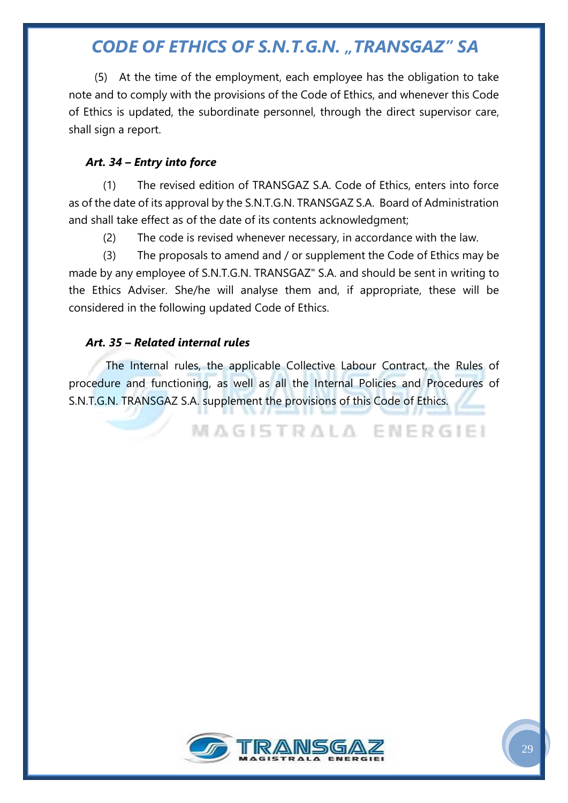(5) At the time of the employment, each employee has the obligation to take note and to comply with the provisions of the Code of Ethics, and whenever this Code of Ethics is updated, the subordinate personnel, through the direct supervisor care, shall sign a report.

#### <span id="page-28-0"></span>*Art. 34 – Entry into force*

(1) The revised edition of TRANSGAZ S.A. Code of Ethics, enters into force as of the date of its approval by the S.N.T.G.N. TRANSGAZ S.A. Board of Administration and shall take effect as of the date of its contents acknowledgment;

(2) The code is revised whenever necessary, in accordance with the law.

(3) The proposals to amend and / or supplement the Code of Ethics may be made by any employee of S.N.T.G.N. TRANSGAZ" S.A. and should be sent in writing to the Ethics Adviser. She/he will analyse them and, if appropriate, these will be considered in the following updated Code of Ethics.

### <span id="page-28-1"></span>*Art. 35 – Related internal rules*

 The Internal rules, the applicable Collective Labour Contract, the Rules of procedure and functioning, as well as all the Internal Policies and Procedures of S.N.T.G.N. TRANSGAZ S.A. supplement the provisions of this Code of Ethics.

MAGISTRALA ENERGIEI

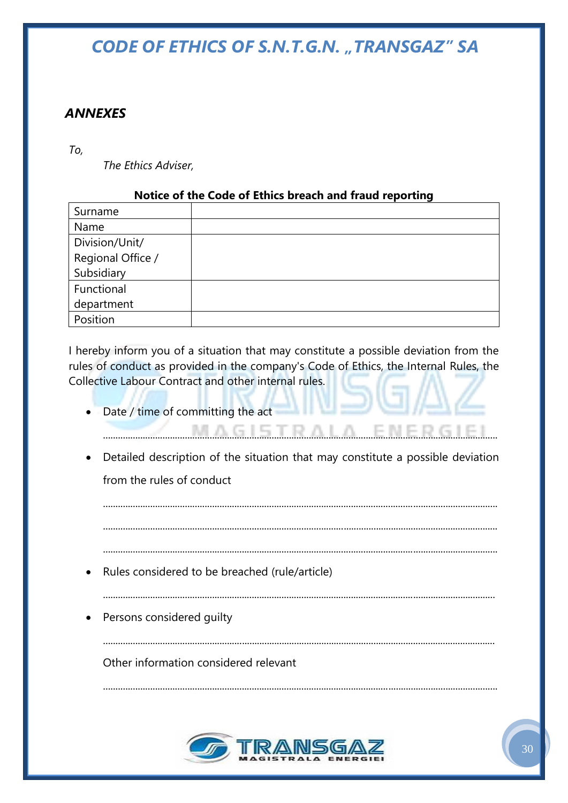### *ANNEXES*

*To,* 

*The Ethics Adviser,* 

### **Notice of the Code of Ethics breach and fraud reporting**

| Surname           |  |
|-------------------|--|
| Name              |  |
| Division/Unit/    |  |
| Regional Office / |  |
| Subsidiary        |  |
| Functional        |  |
| department        |  |
| Position          |  |

I hereby inform you of a situation that may constitute a possible deviation from the rules of conduct as provided in the company's Code of Ethics, the Internal Rules, the Collective Labour Contract and other internal rules.

• Date / time of committing the act

...............................................................................................................................................................

• Detailed description of the situation that may constitute a possible deviation from the rules of conduct

............................................................................................................................................................... ............................................................................................................................................................... ............................................................................................................................................................... • Rules considered to be breached (rule/article) .............................................................................................................................................................. Persons considered guilty .............................................................................................................................................................. Other information considered relevant ...............................................................................................................................................................

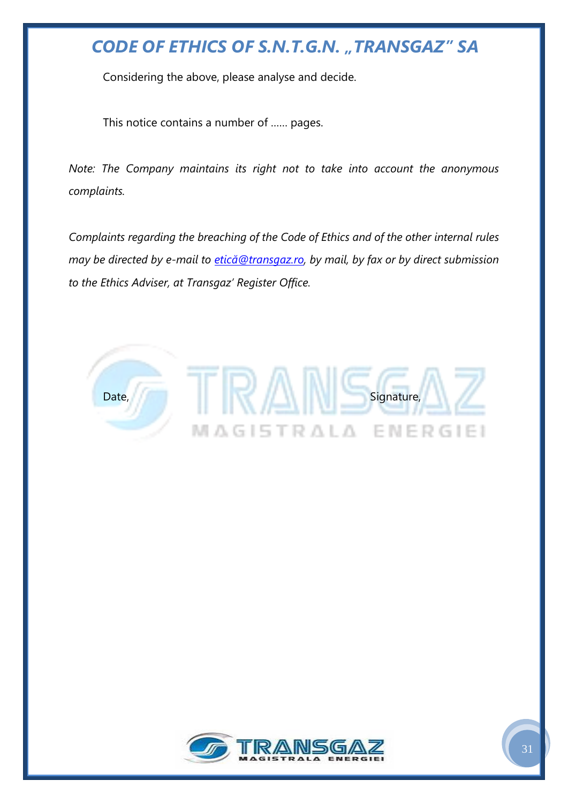Considering the above, please analyse and decide.

This notice contains a number of …… pages.

*Note: The Company maintains its right not to take into account the anonymous complaints.* 

*Complaints regarding the breaching of the Code of Ethics and of the other internal rules may be directed by e-mail to [etică@transgaz.ro](mailto:etică@transgaz.ro), by mail, by fax or by direct submission to the Ethics Adviser, at Transgaz' Register Office.*



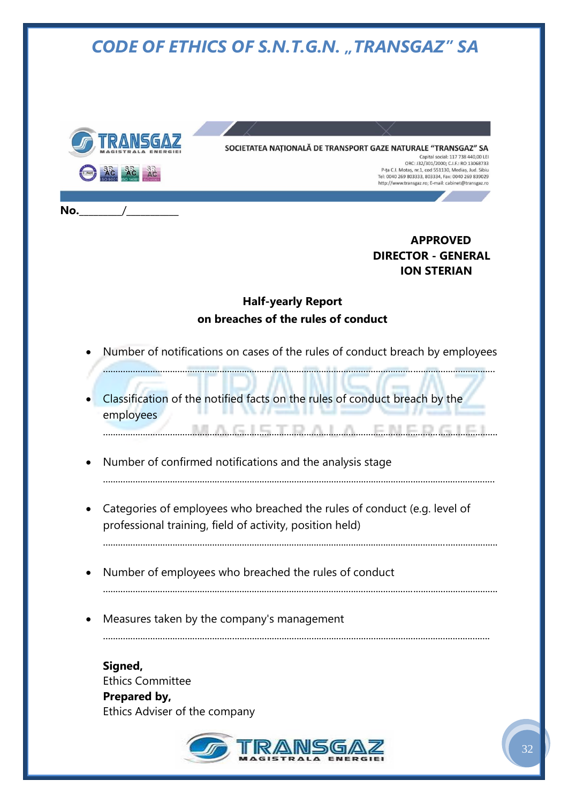

SOCIETATEA NAȚIONALĂ DE TRANSPORT GAZE NATURALE "TRANSGAZ" SA Capital social: 117 738 440.00 LEJ ORC: J32/301/2000; C.I.F.: RO 13068733 P-ța C.I. Motaș, nr.1, cod 551130, Mediaș, Jud. Sibiu Tel: 0040 269 803333, 803334, Fax: 0040 269 839029 http://www.transgaz.ro; E-mail: cabinet@transgaz.ro

### **APPROVED DIRECTOR - GENERAL ION STERIAN**

### **Half-yearly Report on breaches of the rules of conduct**

- Number of notifications on cases of the rules of conduct breach by employees ..............................................................................................................................................................
- Classification of the notified facts on the rules of conduct breach by the employees ...............................................................................................................................................................
- Number of confirmed notifications and the analysis stage
- Categories of employees who breached the rules of conduct (e.g. level of professional training, field of activity, position held)

..............................................................................................................................................................

...............................................................................................................................................................

............................................................................................................................................................

- Number of employees who breached the rules of conduct ...............................................................................................................................................................
- Measures taken by the company's management

**Signed,**  Ethics Committee **Prepared by,**  Ethics Adviser of the company